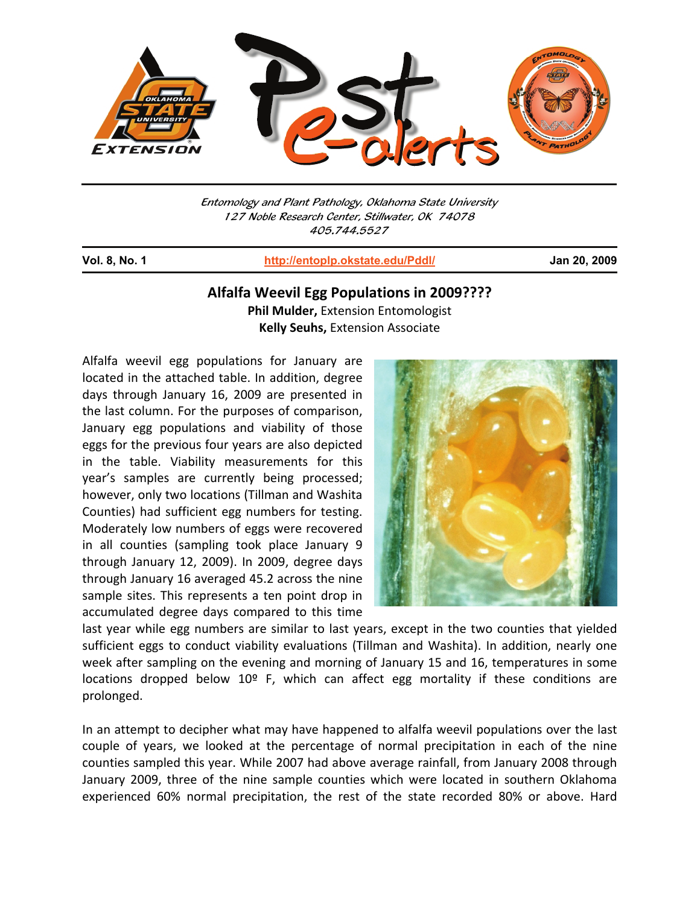

Entomology and Plant Pathology, Oklahoma State University 127 Noble Research Center, Stillwater, OK 74078 405.744.5527

j

**Vol. 8, No. 1 http://entoplp.okstate.edu/Pddl/ Jan 20, 2009**

## **Alfalfa Weevil Egg Populations in 2009????**

**Phil Mulder,** Extension Entomologist **Kelly Seuhs,** Extension Associate

Alfalfa weevil egg populations for January are located in the attached table. In addition, degree days through January 16, 2009 are presented in the last column. For the purposes of comparison, January egg populations and viability of those eggs for the previous four years are also depicted in the table. Viability measurements for this year's samples are currently being processed; however, only two locations (Tillman and Washita Counties) had sufficient egg numbers for testing. Moderately low numbers of eggs were recovered in all counties (sampling took place January 9 through January 12, 2009). In 2009, degree days through January 16 averaged 45.2 across the nine sample sites. This represents a ten point drop in accumulated degree days compared to this time



last year while egg numbers are similar to last years, except in the two counties that yielded sufficient eggs to conduct viability evaluations (Tillman and Washita). In addition, nearly one week after sampling on the evening and morning of January 15 and 16, temperatures in some locations dropped below  $10^{\circ}$  F, which can affect egg mortality if these conditions are prolonged.

In an attempt to decipher what may have happened to alfalfa weevil populations over the last couple of years, we looked at the percentage of normal precipitation in each of the nine counties sampled this year. While 2007 had above average rainfall, from January 2008 through January 2009, three of the nine sample counties which were located in southern Oklahoma experienced 60% normal precipitation, the rest of the state recorded 80% or above. Hard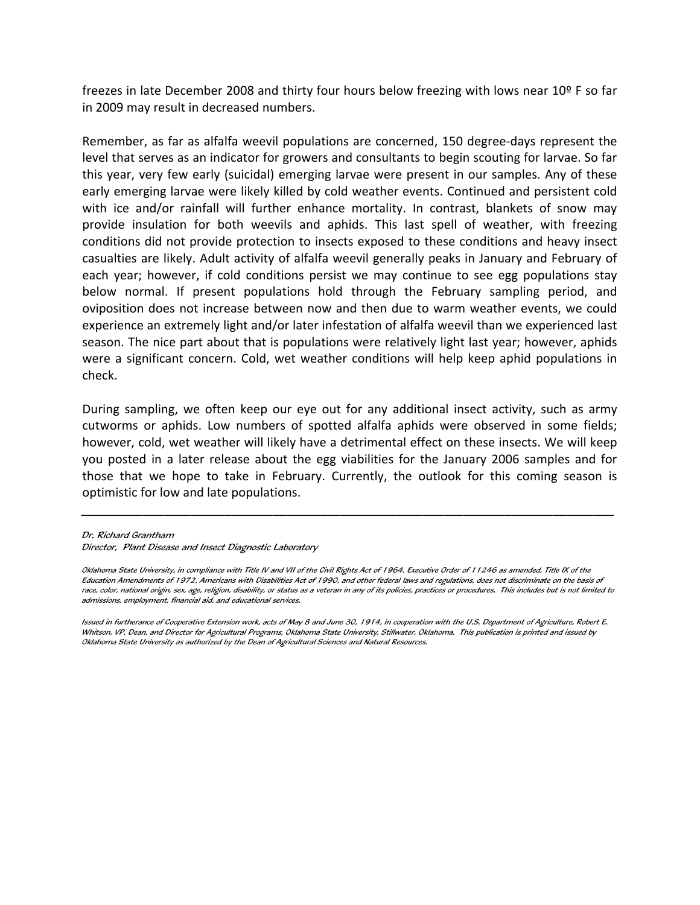freezes in late December 2008 and thirty four hours below freezing with lows near 10º F so far in 2009 may result in decreased numbers.

Remember, as far as alfalfa weevil populations are concerned, 150 degree-days represent the level that serves as an indicator for growers and consultants to begin scouting for larvae. So far this year, very few early (suicidal) emerging larvae were present in our samples. Any of these early emerging larvae were likely killed by cold weather events. Continued and persistent cold with ice and/or rainfall will further enhance mortality. In contrast, blankets of snow may provide insulation for both weevils and aphids. This last spell of weather, with freezing conditions did not provide protection to insects exposed to these conditions and heavy insect casualties are likely. Adult activity of alfalfa weevil generally peaks in January and February of each year; however, if cold conditions persist we may continue to see egg populations stay below normal. If present populations hold through the February sampling period, and oviposition does not increase between now and then due to warm weather events, we could experience an extremely light and/or later infestation of alfalfa weevil than we experienced last season. The nice part about that is populations were relatively light last year; however, aphids were a significant concern. Cold, wet weather conditions will help keep aphid populations in check.

During sampling, we often keep our eye out for any additional insect activity, such as army cutworms or aphids. Low numbers of spotted alfalfa aphids were observed in some fields; however, cold, wet weather will likely have a detrimental effect on these insects. We will keep you posted in a later release about the egg viabilities for the January 2006 samples and for those that we hope to take in February. Currently, the outlook for this coming season is optimistic for low and late populations.

*\_\_\_\_\_\_\_\_\_\_\_\_\_\_\_\_\_\_\_\_\_\_\_\_\_\_\_\_\_\_\_\_\_\_\_\_\_\_\_\_\_\_\_\_\_\_\_\_\_\_\_\_\_\_\_\_\_\_\_\_\_\_\_\_\_\_\_\_\_\_\_\_\_\_\_\_\_\_*

Dr. Richard Grantham

Director, Plant Disease and Insect Diagnostic Laboratory

Oklahoma State University, in compliance with Title IV and VII of the Civil Rights Act of 1964, Executive Order of 11246 as amended, Title IX of the Education Amendments of 1972, Americans with Disabilities Act of 1990, and other federal laws and regulations, does not discriminate on the basis of race, color, national origin, sex, age, religion, disability, or status as a veteran in any of its policies, practices or procedures. This includes but is not limited to admissions, employment, financial aid, and educational services.

Issued in furtherance of Cooperative Extension work, acts of May 8 and June 30, 1914, in cooperation with the U.S. Department of Agriculture, Robert E. Whitson, VP, Dean, and Director for Agricultural Programs, Oklahoma State University, Stillwater, Oklahoma. This publication is printed and issued by Oklahoma State University as authorized by the Dean of Agricultural Sciences and Natural Resources.